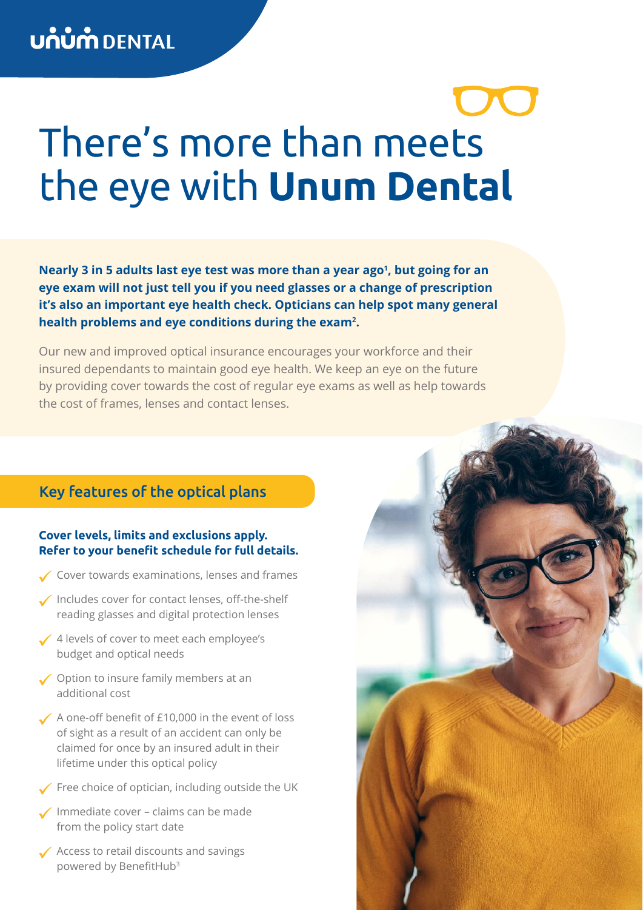# There's more than meets the eye with **Unum Dental**

Nearly 3 in 5 adults last eye test was more than a year ago<sup>1</sup>, but going for an **eye exam will not just tell you if you need glasses or a change of prescription it's also an important eye health check. Opticians can help spot many general health problems and eye conditions during the exam2 .**

Our new and improved optical insurance encourages your workforce and their insured dependants to maintain good eye health. We keep an eye on the future by providing cover towards the cost of regular eye exams as well as help towards the cost of frames, lenses and contact lenses.

## Key features of the optical plans

### **Cover levels, limits and exclusions apply. Refer to your benefit schedule for full details.**

- Cover towards examinations, lenses and frames
- Includes cover for contact lenses, off-the-shelf reading glasses and digital protection lenses
- ✔ 4 levels of cover to meet each employee's budget and optical needs
- ◆ Option to insure family members at an additional cost
- A one-off benefit of £10,000 in the event of loss of sight as a result of an accident can only be claimed for once by an insured adult in their lifetime under this optical policy
- $\checkmark$  Free choice of optician, including outside the UK
- **√** Immediate cover claims can be made from the policy start date
- Access to retail discounts and savings powered by BenefitHub<sup>3</sup>